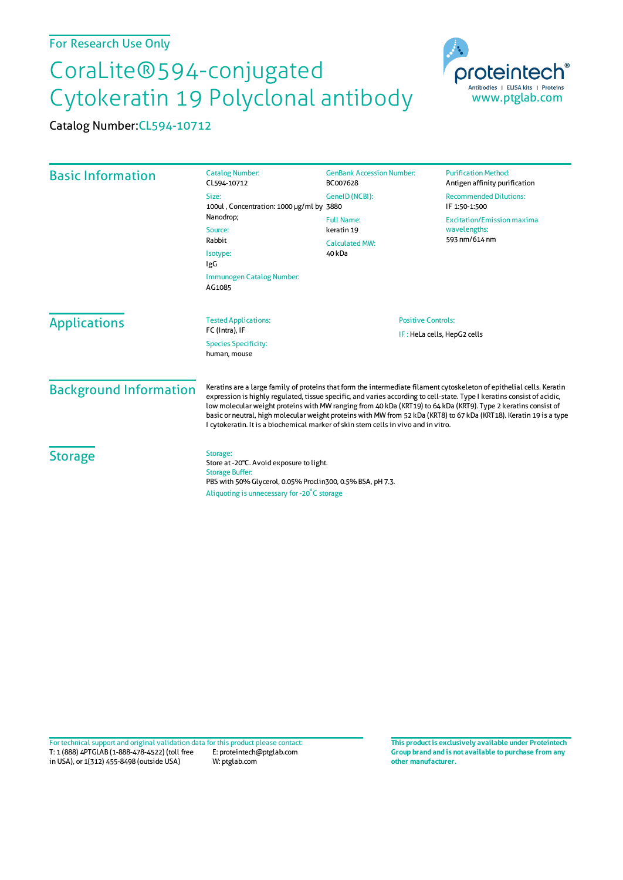## For Research Use Only

## CoraLite®594-conjugated Cytokeratin 19 Polyclonal antibody

Catalog Number:CL594-10712

| <b>Basic Information</b>      | <b>Catalog Number:</b><br>CL594-10712                                                                                                                                                                                                                                                                                                                                                                                                                                                                                                                                           | <b>GenBank Accession Number:</b><br>BC007628                       | <b>Purification Method:</b><br>Antigen affinity purification       |
|-------------------------------|---------------------------------------------------------------------------------------------------------------------------------------------------------------------------------------------------------------------------------------------------------------------------------------------------------------------------------------------------------------------------------------------------------------------------------------------------------------------------------------------------------------------------------------------------------------------------------|--------------------------------------------------------------------|--------------------------------------------------------------------|
|                               | Size:<br>100ul, Concentration: 1000 µg/ml by 3880                                                                                                                                                                                                                                                                                                                                                                                                                                                                                                                               | GeneID (NCBI):                                                     | <b>Recommended Dilutions:</b><br>IF 1:50-1:500                     |
|                               | Nanodrop;<br>Source:<br>Rabbit<br>Isotype:<br>IgG<br>Immunogen Catalog Number:<br>AG1085                                                                                                                                                                                                                                                                                                                                                                                                                                                                                        | <b>Full Name:</b><br>keratin 19<br><b>Calculated MW:</b><br>40 kDa | <b>Excitation/Emission maxima</b><br>wavelengths:<br>593 nm/614 nm |
| <b>Applications</b>           | <b>Tested Applications:</b><br>FC (Intra), IF<br><b>Species Specificity:</b><br>human, mouse                                                                                                                                                                                                                                                                                                                                                                                                                                                                                    | <b>Positive Controls:</b><br>IF: HeLa cells, HepG2 cells           |                                                                    |
| <b>Background Information</b> | Keratins are a large family of proteins that form the intermediate filament cytoskeleton of epithelial cells. Keratin<br>expression is highly regulated, tissue specific, and varies according to cell-state. Type I keratins consist of acidic,<br>low molecular weight proteins with MW ranging from 40 kDa (KRT19) to 64 kDa (KRT9). Type 2 keratins consist of<br>basic or neutral, high molecular weight proteins with MW from 52 kDa (KRT8) to 67 kDa (KRT18). Keratin 19 is a type<br>I cytokeratin. It is a biochemical marker of skin stem cells in vivo and in vitro. |                                                                    |                                                                    |
| <b>Storage</b>                | Storage:<br>Store at -20°C. Avoid exposure to light.<br><b>Storage Buffer:</b><br>PBS with 50% Glycerol, 0.05% Proclin300, 0.5% BSA, pH 7.3.<br>Aliquoting is unnecessary for -20°C storage                                                                                                                                                                                                                                                                                                                                                                                     |                                                                    |                                                                    |

**Group brand and is not available to purchase from any other manufacturer.**